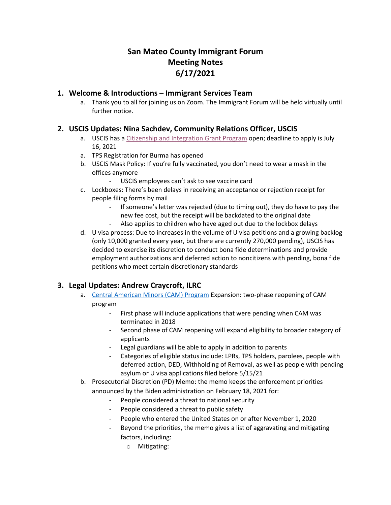# **San Mateo County Immigrant Forum Meeting Notes 6/17/2021**

#### **1. Welcome & Introductions – Immigrant Services Team**

a. Thank you to all for joining us on Zoom. The Immigrant Forum will be held virtually until further notice.

# **2. USCIS Updates: Nina Sachdev, Community Relations Officer, USCIS**

- a. USCIS has a Citizenship [and Integration Grant Program](https://www.uscis.gov/citizenship/civic-integration/fy-2021-grant-recipients) open; deadline to apply is July 16, 2021
- a. TPS Registration for Burma has opened
- b. USCIS Mask Policy: If you're fully vaccinated, you don't need to wear a mask in the offices anymore
	- USCIS employees can't ask to see vaccine card
- c. Lockboxes: There's been delays in receiving an acceptance or rejection receipt for people filing forms by mail
	- If someone's letter was rejected (due to timing out), they do have to pay the new fee cost, but the receipt will be backdated to the original date
	- Also applies to children who have aged out due to the lockbox delays
- d. U visa process: Due to increases in the volume of U visa petitions and a growing backlog (only 10,000 granted every year, but there are currently 270,000 pending), USCIS has decided to exercise its discretion to conduct bona fide determinations and provide employment authorizations and deferred action to noncitizens with pending, bona fide petitions who meet certain discretionary standards

#### **3. Legal Updates: Andrew Craycroft, ILRC**

- a. [Central American Minors](https://www.uscis.gov/CAM) (CAM) Program Expansion: two-phase reopening of CAM program
	- First phase will include applications that were pending when CAM was terminated in 2018
	- Second phase of CAM reopening will expand eligibility to broader category of applicants
	- Legal guardians will be able to apply in addition to parents
	- Categories of eligible status include: LPRs, TPS holders, parolees, people with deferred action, DED, Withholding of Removal, as well as people with pending asylum or U visa applications filed before 5/15/21
- b. Prosecutorial Discretion (PD) Memo: the memo keeps the enforcement priorities announced by the Biden administration on February 18, 2021 for:
	- People considered a threat to national security
	- People considered a threat to public safety
	- People who entered the United States on or after November 1, 2020
	- Beyond the priorities, the memo gives a list of aggravating and mitigating factors, including:
		- o Mitigating: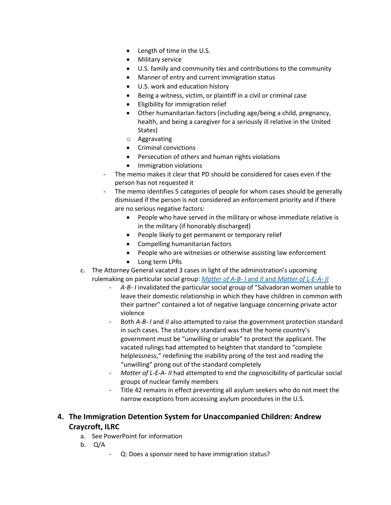- Length of time in the U.S.
- Military service
- U.S. family and community ties and contributions to the community
- Manner of entry and current immigration status
- U.S. work and education history
- Being a witness, victim, or plaintiff in a civil or criminal case
- Eligibility for immigration relief
- Other humanitarian factors (including age/being a child, pregnancy, health, and being a caregiver for a seriously ill relative in the United States)
- o Aggravating
- Criminal convictions
- Persecution of others and human rights violations
- Immigration violations
- The memo makes it clear that PD should be considered for cases even if the person has not requested it
- The memo identifies 5 categories of people for whom cases should be generally dismissed if the person is not considered an enforcement priority and if there are no serious negative factors:
	- People who have served in the military or whose immediate relative is in the military (if honorably discharged)
	- People likely to get permanent or temporary relief
	- Compelling humanitarian factors
	- People who are witnesses or otherwise assisting law enforcement
	- Long term LPRs
- c. The Attorney General vacated 3 cases in light of the administration's upcoming rulemaking on particular social group: *Matter of A-B- I* and *II* and *[Matter of L-E-A-](https://www.justice.gov/eoir/volume-28) II*
	- *A-B- I* invalidated the particular social group of "Salvadoran women unable to leave their domestic relationship in which they have children in common with their partner" contained a lot of negative language concerning private actor violence
	- Both *A-B- I* and *II* also attempted to raise the government protection standard in such cases. The statutory standard was that the home country's government must be "unwilling or unable" to protect the applicant. The vacated rulings had attempted to heighten that standard to "complete helplessness," redefining the inability prong of the test and reading the "unwilling" prong out of the standard completely
	- *Matter of L-E-A- II* had attempted to end the cognoscibility of particular social groups of nuclear family members
	- Title 42 remains in effect preventing all asylum seekers who do not meet the narrow exceptions from accessing asylum procedures in the U.S.

#### **4. The Immigration Detention System for Unaccompanied Children: Andrew Craycroft, ILRC**

- a. See PowerPoint for information
- b. Q/A
	- Q: Does a sponsor need to have immigration status?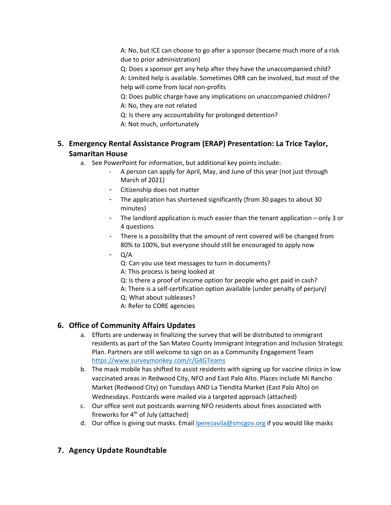A: No, but ICE can choose to go after a sponsor (became much more of a risk due to prior administration)

Q: Does a sponsor get any help after they have the unaccompanied child? A: Limited help is available. Sometimes ORR can be involved, but most of the help will come from local non-profits

Q: Does public charge have any implications on unaccompanied children? A: No, they are not related

Q: Is there any accountability for prolonged detention?

A: Not much, unfortunately

# **5. Emergency Rental Assistance Program (ERAP) Presentation: La Trice Taylor, Samaritan House**

- a. See PowerPoint for information, but additional key points include:
	- A person can apply for April, May, and June of this year (not just through March of 2021)
	- Citizenship does not matter
	- The application has shortened significantly (from 30 pages to about 30 minutes)
	- The landlord application is much easier than the tenant application only 3 or 4 questions
	- There is a possibility that the amount of rent covered will be changed from 80% to 100%, but everyone should still be encouraged to apply now
	- Q/A
		- Q: Can you use text messages to turn in documents?
		- A: This process is being looked at
		- Q: Is there a proof of income option for people who get paid in cash?
		- A: There is a self-certification option available (under penalty of perjury)
		- Q: What about subleases?
		- A: Refer to CORE agencies

# **6. Office of Community Affairs Updates**

- a. Efforts are underway in finalizing the survey that will be distributed to immigrant residents as part of the San Mateo County Immigrant Integration and Inclusion Strategic Plan. Partners are still welcome to sign on as a Community Engagement Team <https://www.surveymonkey.com/r/G4GTeams>
- b. The mask mobile has shifted to assist residents with signing up for vaccine clinics in low vaccinated areas in Redwood City, NFO and East Palo Alto. Places include Mi Rancho Market (Redwood City) on Tuesdays AND La Tiendita Market (East Palo Alto) on Wednesdays. Postcards were mailed via a targeted approach (attached)
- c. Our office sent out postcards warning NFO residents about fines associated with fireworks for  $4<sup>th</sup>$  of July (attached)
- d. Our office is giving out masks. Email **lperezavila@smcgov.org** if you would like masks

# **7. Agency Update Roundtable**